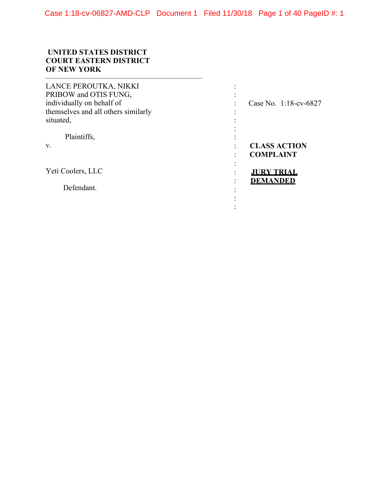## **UNITED STATES DISTRICT COURT EASTERN DISTRICT OF NEW YORK**  –––––––––––––––––––––––––––––––––––––––––

| LANCE PEROUTKA, NIKKI<br>PRIBOW and OTIS FUNG,                   |                                         |
|------------------------------------------------------------------|-----------------------------------------|
| individually on behalf of<br>themselves and all others similarly | Case No. 1:18-cv-6827                   |
| situated,                                                        |                                         |
| Plaintiffs,<br>V.                                                | <b>CLASS ACTION</b><br><b>COMPLAINT</b> |
| Yeti Coolers, LLC                                                | <b>JURY TRIAL</b>                       |
| Defendant.                                                       | <b>DEMANDED</b>                         |
|                                                                  |                                         |
|                                                                  |                                         |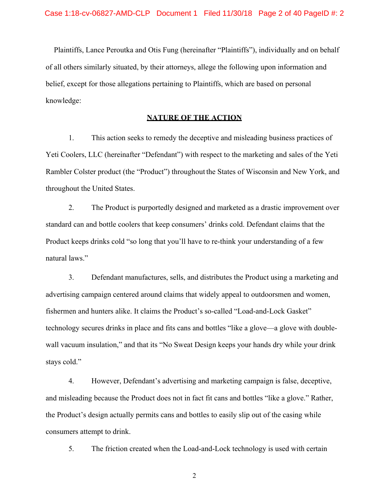Plaintiffs, Lance Peroutka and Otis Fung (hereinafter "Plaintiffs"), individually and on behalf of all others similarly situated, by their attorneys, allege the following upon information and belief, except for those allegations pertaining to Plaintiffs, which are based on personal knowledge:

### **NATURE OF THE ACTION**

1. This action seeks to remedy the deceptive and misleading business practices of Yeti Coolers, LLC (hereinafter "Defendant") with respect to the marketing and sales of the Yeti Rambler Colster product (the "Product") throughout the States of Wisconsin and New York, and throughout the United States.

2. The Product is purportedly designed and marketed as a drastic improvement over standard can and bottle coolers that keep consumers' drinks cold. Defendant claims that the Product keeps drinks cold "so long that you'll have to re-think your understanding of a few natural laws."

3. Defendant manufactures, sells, and distributes the Product using a marketing and advertising campaign centered around claims that widely appeal to outdoorsmen and women, fishermen and hunters alike. It claims the Product's so-called "Load-and-Lock Gasket" technology secures drinks in place and fits cans and bottles "like a glove—a glove with doublewall vacuum insulation," and that its "No Sweat Design keeps your hands dry while your drink stays cold."

4. However, Defendant's advertising and marketing campaign is false, deceptive, and misleading because the Product does not in fact fit cans and bottles "like a glove." Rather, the Product's design actually permits cans and bottles to easily slip out of the casing while consumers attempt to drink.

5. The friction created when the Load-and-Lock technology is used with certain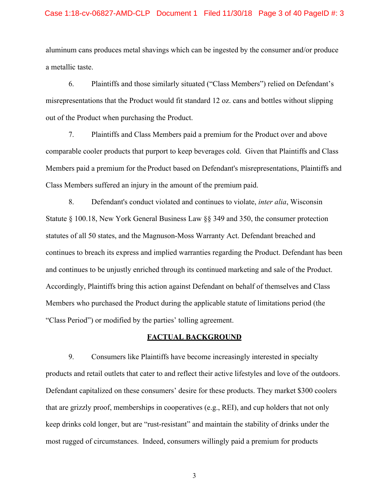# Case 1:18-cv-06827-AMD-CLP Document 1 Filed 11/30/18 Page 3 of 40 PageID #: 3

aluminum cans produces metal shavings which can be ingested by the consumer and/or produce a metallic taste.

6. Plaintiffs and those similarly situated ("Class Members") relied on Defendant's misrepresentations that the Product would fit standard 12 oz. cans and bottles without slipping out of the Product when purchasing the Product.

7. Plaintiffs and Class Members paid a premium for the Product over and above comparable cooler products that purport to keep beverages cold. Given that Plaintiffs and Class Members paid a premium for the Product based on Defendant's misrepresentations, Plaintiffs and Class Members suffered an injury in the amount of the premium paid.

8. Defendant's conduct violated and continues to violate, *inter alia*, Wisconsin Statute § 100.18, New York General Business Law §§ 349 and 350, the consumer protection statutes of all 50 states, and the Magnuson-Moss Warranty Act. Defendant breached and continues to breach its express and implied warranties regarding the Product. Defendant has been and continues to be unjustly enriched through its continued marketing and sale of the Product. Accordingly, Plaintiffs bring this action against Defendant on behalf of themselves and Class Members who purchased the Product during the applicable statute of limitations period (the "Class Period") or modified by the parties' tolling agreement.

## **FACTUAL BACKGROUND**

9. Consumers like Plaintiffs have become increasingly interested in specialty products and retail outlets that cater to and reflect their active lifestyles and love of the outdoors. Defendant capitalized on these consumers' desire for these products. They market \$300 coolers that are grizzly proof, memberships in cooperatives (e.g., REI), and cup holders that not only keep drinks cold longer, but are "rust-resistant" and maintain the stability of drinks under the most rugged of circumstances. Indeed, consumers willingly paid a premium for products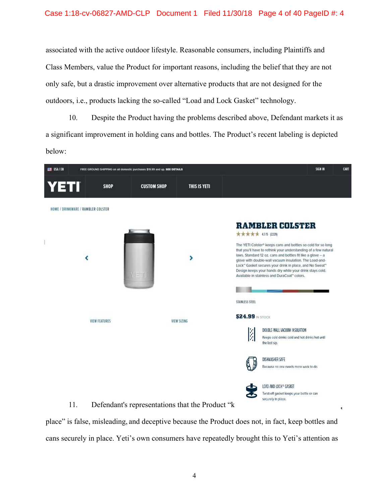# Case 1:18-cv-06827-AMD-CLP Document 1 Filed 11/30/18 Page 4 of 40 PageID #: 4

associated with the active outdoor lifestyle. Reasonable consumers, including Plaintiffs and Class Members, value the Product for important reasons, including the belief that they are not only safe, but a drastic improvement over alternative products that are not designed for the outdoors, i.e., products lacking the so-called "Load and Lock Gasket" technology.

10. Despite the Product having the problems described above, Defendant markets it as a significant improvement in holding cans and bottles. The Product's recent labeling is depicted below:



place" is false, misleading, and deceptive because the Product does not, in fact, keep bottles and cans securely in place. Yeti's own consumers have repeatedly brought this to Yeti's attention as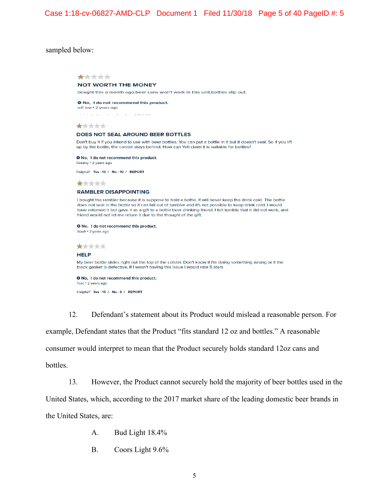### sampled below:



12. Defendant's statement about its Product would mislead a reasonable person. For example, Defendant states that the Product "fits standard 12 oz and bottles." A reasonable consumer would interpret to mean that the Product securely holds standard 12oz cans and bottles.

13. However, the Product cannot securely hold the majority of beer bottles used in the

United States, which, according to the 2017 market share of the leading domestic beer brands in the United States, are:

- A. Bud Light 18.4%
- B. Coors Light 9.6%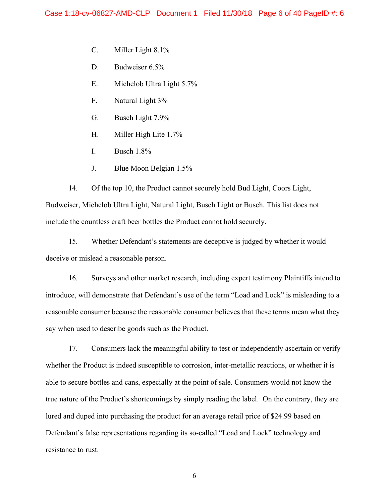- C. Miller Light 8.1%
- D. Budweiser 6.5%
- E. Michelob Ultra Light 5.7%
- F. Natural Light 3%
- G. Busch Light 7.9%
- H. Miller High Lite 1.7%
- I. Busch 1.8%
- J. Blue Moon Belgian 1.5%

14. Of the top 10, the Product cannot securely hold Bud Light, Coors Light, Budweiser, Michelob Ultra Light, Natural Light, Busch Light or Busch. This list does not include the countless craft beer bottles the Product cannot hold securely.

15. Whether Defendant's statements are deceptive is judged by whether it would deceive or mislead a reasonable person.

16. Surveys and other market research, including expert testimony Plaintiffs intend to introduce, will demonstrate that Defendant's use of the term "Load and Lock" is misleading to a reasonable consumer because the reasonable consumer believes that these terms mean what they say when used to describe goods such as the Product.

17. Consumers lack the meaningful ability to test or independently ascertain or verify whether the Product is indeed susceptible to corrosion, inter-metallic reactions, or whether it is able to secure bottles and cans, especially at the point of sale. Consumers would not know the true nature of the Product's shortcomings by simply reading the label. On the contrary, they are lured and duped into purchasing the product for an average retail price of \$24.99 based on Defendant's false representations regarding its so-called "Load and Lock" technology and resistance to rust.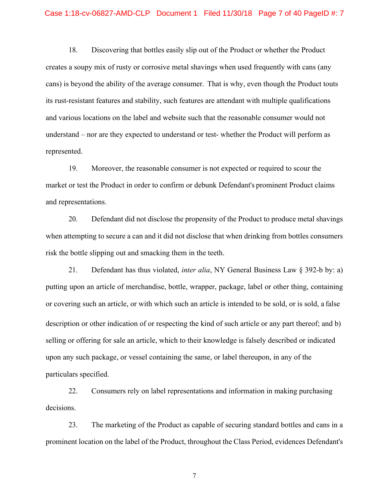# Case 1:18-cv-06827-AMD-CLP Document 1 Filed 11/30/18 Page 7 of 40 PageID #: 7

18. Discovering that bottles easily slip out of the Product or whether the Product creates a soupy mix of rusty or corrosive metal shavings when used frequently with cans (any cans) is beyond the ability of the average consumer. That is why, even though the Product touts its rust-resistant features and stability, such features are attendant with multiple qualifications and various locations on the label and website such that the reasonable consumer would not understand – nor are they expected to understand or test- whether the Product will perform as represented.

19. Moreover, the reasonable consumer is not expected or required to scour the market or test the Product in order to confirm or debunk Defendant's prominent Product claims and representations.

20. Defendant did not disclose the propensity of the Product to produce metal shavings when attempting to secure a can and it did not disclose that when drinking from bottles consumers risk the bottle slipping out and smacking them in the teeth.

21. Defendant has thus violated, *inter alia*, NY General Business Law § 392-b by: a) putting upon an article of merchandise, bottle, wrapper, package, label or other thing, containing or covering such an article, or with which such an article is intended to be sold, or is sold, a false description or other indication of or respecting the kind of such article or any part thereof; and b) selling or offering for sale an article, which to their knowledge is falsely described or indicated upon any such package, or vessel containing the same, or label thereupon, in any of the particulars specified.

22. Consumers rely on label representations and information in making purchasing decisions.

23. The marketing of the Product as capable of securing standard bottles and cans in a prominent location on the label of the Product, throughout the Class Period, evidences Defendant's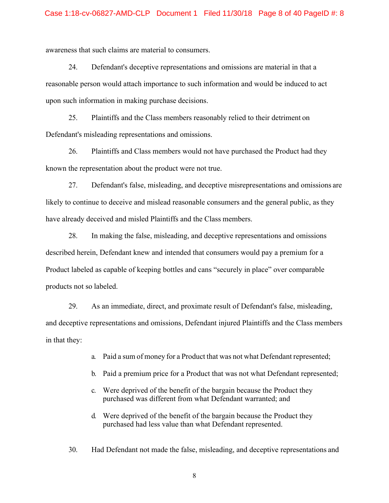awareness that such claims are material to consumers.

24. Defendant's deceptive representations and omissions are material in that a reasonable person would attach importance to such information and would be induced to act upon such information in making purchase decisions.

25. Plaintiffs and the Class members reasonably relied to their detriment on Defendant's misleading representations and omissions.

26. Plaintiffs and Class members would not have purchased the Product had they known the representation about the product were not true.

27. Defendant's false, misleading, and deceptive misrepresentations and omissions are likely to continue to deceive and mislead reasonable consumers and the general public, as they have already deceived and misled Plaintiffs and the Class members.

28. In making the false, misleading, and deceptive representations and omissions described herein, Defendant knew and intended that consumers would pay a premium for a Product labeled as capable of keeping bottles and cans "securely in place" over comparable products not so labeled.

29. As an immediate, direct, and proximate result of Defendant's false, misleading, and deceptive representations and omissions, Defendant injured Plaintiffs and the Class members in that they:

- a. Paid a sum of money for a Product that was not what Defendant represented;
- b. Paid a premium price for a Product that was not what Defendant represented;
- c. Were deprived of the benefit of the bargain because the Product they purchased was different from what Defendant warranted; and
- d. Were deprived of the benefit of the bargain because the Product they purchased had less value than what Defendant represented.

30. Had Defendant not made the false, misleading, and deceptive representations and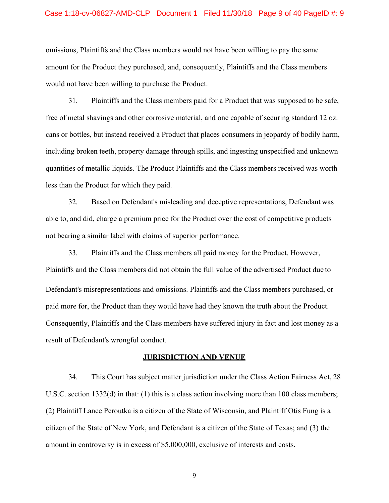#### Case 1:18-cv-06827-AMD-CLP Document 1 Filed 11/30/18 Page 9 of 40 PageID #: 9

omissions, Plaintiffs and the Class members would not have been willing to pay the same amount for the Product they purchased, and, consequently, Plaintiffs and the Class members would not have been willing to purchase the Product.

31. Plaintiffs and the Class members paid for a Product that was supposed to be safe, free of metal shavings and other corrosive material, and one capable of securing standard 12 oz. cans or bottles, but instead received a Product that places consumers in jeopardy of bodily harm, including broken teeth, property damage through spills, and ingesting unspecified and unknown quantities of metallic liquids. The Product Plaintiffs and the Class members received was worth less than the Product for which they paid.

32. Based on Defendant's misleading and deceptive representations, Defendant was able to, and did, charge a premium price for the Product over the cost of competitive products not bearing a similar label with claims of superior performance.

33. Plaintiffs and the Class members all paid money for the Product. However, Plaintiffs and the Class members did not obtain the full value of the advertised Product due to Defendant's misrepresentations and omissions. Plaintiffs and the Class members purchased, or paid more for, the Product than they would have had they known the truth about the Product. Consequently, Plaintiffs and the Class members have suffered injury in fact and lost money as a result of Defendant's wrongful conduct.

#### **JURISDICTION AND VENUE**

34. This Court has subject matter jurisdiction under the Class Action Fairness Act, 28 U.S.C. section 1332(d) in that: (1) this is a class action involving more than 100 class members; (2) Plaintiff Lance Peroutka is a citizen of the State of Wisconsin, and Plaintiff Otis Fung is a citizen of the State of New York, and Defendant is a citizen of the State of Texas; and (3) the amount in controversy is in excess of \$5,000,000, exclusive of interests and costs.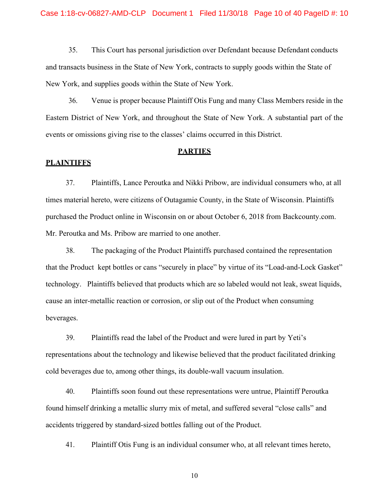35. This Court has personal jurisdiction over Defendant because Defendant conducts and transacts business in the State of New York, contracts to supply goods within the State of New York, and supplies goods within the State of New York.

36. Venue is proper because Plaintiff Otis Fung and many Class Members reside in the Eastern District of New York, and throughout the State of New York. A substantial part of the events or omissions giving rise to the classes' claims occurred in this District.

#### **PARTIES**

#### **PLAINTIFFS**

37. Plaintiffs, Lance Peroutka and Nikki Pribow, are individual consumers who, at all times material hereto, were citizens of Outagamie County, in the State of Wisconsin. Plaintiffs purchased the Product online in Wisconsin on or about October 6, 2018 from Backcounty.com. Mr. Peroutka and Ms. Pribow are married to one another.

38. The packaging of the Product Plaintiffs purchased contained the representation that the Product kept bottles or cans "securely in place" by virtue of its "Load-and-Lock Gasket" technology. Plaintiffs believed that products which are so labeled would not leak, sweat liquids, cause an inter-metallic reaction or corrosion, or slip out of the Product when consuming beverages.

39. Plaintiffs read the label of the Product and were lured in part by Yeti's representations about the technology and likewise believed that the product facilitated drinking cold beverages due to, among other things, its double-wall vacuum insulation.

40. Plaintiffs soon found out these representations were untrue, Plaintiff Peroutka found himself drinking a metallic slurry mix of metal, and suffered several "close calls" and accidents triggered by standard-sized bottles falling out of the Product.

41. Plaintiff Otis Fung is an individual consumer who, at all relevant times hereto,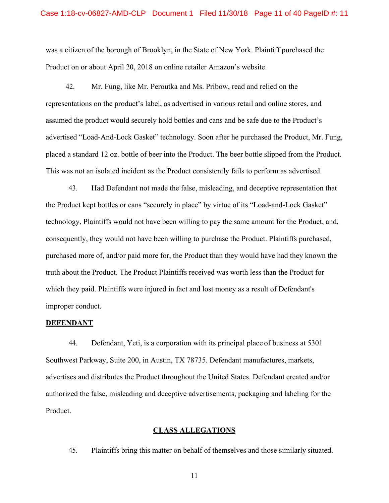#### Case 1:18-cv-06827-AMD-CLP Document 1 Filed 11/30/18 Page 11 of 40 PageID #: 11

was a citizen of the borough of Brooklyn, in the State of New York. Plaintiff purchased the Product on or about April 20, 2018 on online retailer Amazon's website.

42. Mr. Fung, like Mr. Peroutka and Ms. Pribow, read and relied on the representations on the product's label, as advertised in various retail and online stores, and assumed the product would securely hold bottles and cans and be safe due to the Product's advertised "Load-And-Lock Gasket" technology. Soon after he purchased the Product, Mr. Fung, placed a standard 12 oz. bottle of beer into the Product. The beer bottle slipped from the Product. This was not an isolated incident as the Product consistently fails to perform as advertised.

43. Had Defendant not made the false, misleading, and deceptive representation that the Product kept bottles or cans "securely in place" by virtue of its "Load-and-Lock Gasket" technology, Plaintiffs would not have been willing to pay the same amount for the Product, and, consequently, they would not have been willing to purchase the Product. Plaintiffs purchased, purchased more of, and/or paid more for, the Product than they would have had they known the truth about the Product. The Product Plaintiffs received was worth less than the Product for which they paid. Plaintiffs were injured in fact and lost money as a result of Defendant's improper conduct.

#### **DEFENDANT**

44. Defendant, Yeti, is a corporation with its principal place of business at 5301 Southwest Parkway, Suite 200, in Austin, TX 78735. Defendant manufactures, markets, advertises and distributes the Product throughout the United States. Defendant created and/or authorized the false, misleading and deceptive advertisements, packaging and labeling for the Product.

### **CLASS ALLEGATIONS**

45. Plaintiffs bring this matter on behalf of themselves and those similarly situated.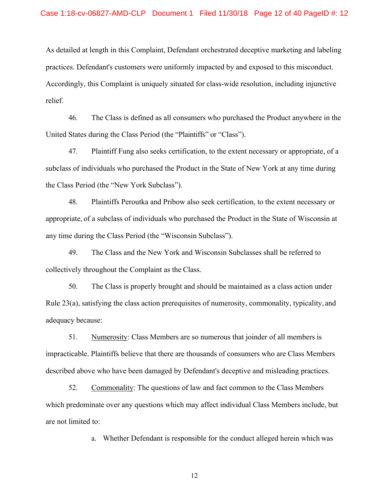#### Case 1:18-cv-06827-AMD-CLP Document 1 Filed 11/30/18 Page 12 of 40 PageID #: 12

As detailed at length in this Complaint, Defendant orchestrated deceptive marketing and labeling practices. Defendant's customers were uniformly impacted by and exposed to this misconduct. Accordingly, this Complaint is uniquely situated for class-wide resolution, including injunctive relief.

46. The Class is defined as all consumers who purchased the Product anywhere in the United States during the Class Period (the "Plaintiffs" or "Class").

47. Plaintiff Fung also seeks certification, to the extent necessary or appropriate, of a subclass of individuals who purchased the Product in the State of New York at any time during the Class Period (the "New York Subclass").

48. Plaintiffs Peroutka and Pribow also seek certification, to the extent necessary or appropriate, of a subclass of individuals who purchased the Product in the State of Wisconsin at any time during the Class Period (the "Wisconsin Subclass").

49. The Class and the New York and Wisconsin Subclasses shall be referred to collectively throughout the Complaint as the Class.

50. The Class is properly brought and should be maintained as a class action under Rule 23(a), satisfying the class action prerequisites of numerosity, commonality, typicality, and adequacy because:

51. Numerosity: Class Members are so numerous that joinder of all members is impracticable. Plaintiffs believe that there are thousands of consumers who are Class Members described above who have been damaged by Defendant's deceptive and misleading practices.

52. Commonality: The questions of law and fact common to the Class Members which predominate over any questions which may affect individual Class Members include, but are not limited to:

a. Whether Defendant is responsible for the conduct alleged herein which was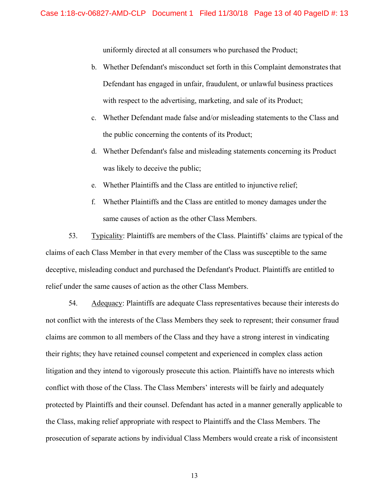uniformly directed at all consumers who purchased the Product;

- b. Whether Defendant's misconduct set forth in this Complaint demonstrates that Defendant has engaged in unfair, fraudulent, or unlawful business practices with respect to the advertising, marketing, and sale of its Product;
- c. Whether Defendant made false and/or misleading statements to the Class and the public concerning the contents of its Product;
- d. Whether Defendant's false and misleading statements concerning its Product was likely to deceive the public;
- e. Whether Plaintiffs and the Class are entitled to injunctive relief;
- f. Whether Plaintiffs and the Class are entitled to money damages under the same causes of action as the other Class Members.

53. Typicality: Plaintiffs are members of the Class. Plaintiffs' claims are typical of the claims of each Class Member in that every member of the Class was susceptible to the same deceptive, misleading conduct and purchased the Defendant's Product. Plaintiffs are entitled to relief under the same causes of action as the other Class Members.

54. Adequacy: Plaintiffs are adequate Class representatives because their interests do not conflict with the interests of the Class Members they seek to represent; their consumer fraud claims are common to all members of the Class and they have a strong interest in vindicating their rights; they have retained counsel competent and experienced in complex class action litigation and they intend to vigorously prosecute this action. Plaintiffs have no interests which conflict with those of the Class. The Class Members' interests will be fairly and adequately protected by Plaintiffs and their counsel. Defendant has acted in a manner generally applicable to the Class, making relief appropriate with respect to Plaintiffs and the Class Members. The prosecution of separate actions by individual Class Members would create a risk of inconsistent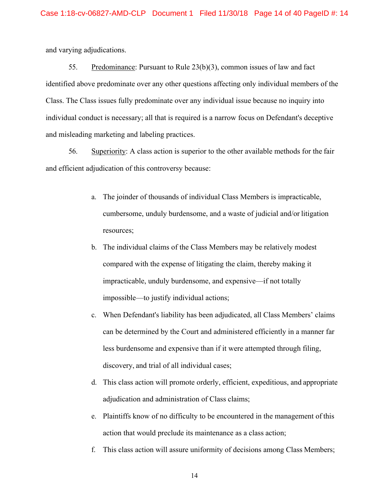and varying adjudications.

55. Predominance: Pursuant to Rule 23(b)(3), common issues of law and fact identified above predominate over any other questions affecting only individual members of the Class. The Class issues fully predominate over any individual issue because no inquiry into individual conduct is necessary; all that is required is a narrow focus on Defendant's deceptive and misleading marketing and labeling practices.

56. Superiority: A class action is superior to the other available methods for the fair and efficient adjudication of this controversy because:

- a. The joinder of thousands of individual Class Members is impracticable, cumbersome, unduly burdensome, and a waste of judicial and/or litigation resources;
- b. The individual claims of the Class Members may be relatively modest compared with the expense of litigating the claim, thereby making it impracticable, unduly burdensome, and expensive—if not totally impossible—to justify individual actions;
- c. When Defendant's liability has been adjudicated, all Class Members' claims can be determined by the Court and administered efficiently in a manner far less burdensome and expensive than if it were attempted through filing, discovery, and trial of all individual cases;
- d. This class action will promote orderly, efficient, expeditious, and appropriate adjudication and administration of Class claims;
- e. Plaintiffs know of no difficulty to be encountered in the management of this action that would preclude its maintenance as a class action;
- f. This class action will assure uniformity of decisions among Class Members;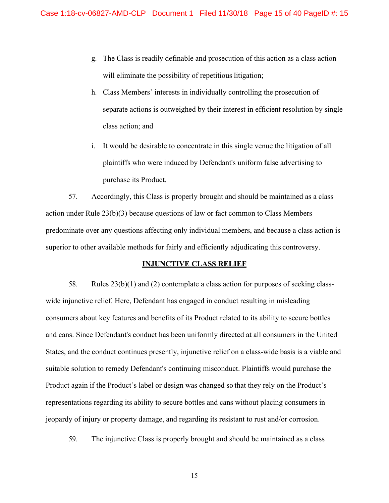- g. The Class is readily definable and prosecution of this action as a class action will eliminate the possibility of repetitious litigation;
- h. Class Members' interests in individually controlling the prosecution of separate actions is outweighed by their interest in efficient resolution by single class action; and
- i. It would be desirable to concentrate in this single venue the litigation of all plaintiffs who were induced by Defendant's uniform false advertising to purchase its Product.

57. Accordingly, this Class is properly brought and should be maintained as a class action under Rule 23(b)(3) because questions of law or fact common to Class Members predominate over any questions affecting only individual members, and because a class action is superior to other available methods for fairly and efficiently adjudicating this controversy.

## **INJUNCTIVE CLASS RELIEF**

58. Rules 23(b)(1) and (2) contemplate a class action for purposes of seeking classwide injunctive relief. Here, Defendant has engaged in conduct resulting in misleading consumers about key features and benefits of its Product related to its ability to secure bottles and cans. Since Defendant's conduct has been uniformly directed at all consumers in the United States, and the conduct continues presently, injunctive relief on a class-wide basis is a viable and suitable solution to remedy Defendant's continuing misconduct. Plaintiffs would purchase the Product again if the Product's label or design was changed so that they rely on the Product's representations regarding its ability to secure bottles and cans without placing consumers in jeopardy of injury or property damage, and regarding its resistant to rust and/or corrosion.

59. The injunctive Class is properly brought and should be maintained as a class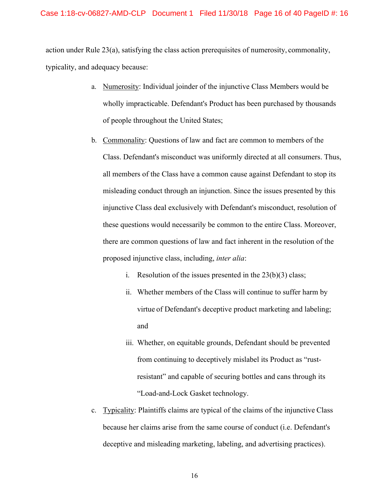action under Rule 23(a), satisfying the class action prerequisites of numerosity, commonality, typicality, and adequacy because:

- a. Numerosity: Individual joinder of the injunctive Class Members would be wholly impracticable. Defendant's Product has been purchased by thousands of people throughout the United States;
- b. Commonality: Questions of law and fact are common to members of the Class. Defendant's misconduct was uniformly directed at all consumers. Thus, all members of the Class have a common cause against Defendant to stop its misleading conduct through an injunction. Since the issues presented by this injunctive Class deal exclusively with Defendant's misconduct, resolution of these questions would necessarily be common to the entire Class. Moreover, there are common questions of law and fact inherent in the resolution of the proposed injunctive class, including, *inter alia*:
	- i. Resolution of the issues presented in the  $23(b)(3)$  class;
	- ii. Whether members of the Class will continue to suffer harm by virtue of Defendant's deceptive product marketing and labeling; and
	- iii. Whether, on equitable grounds, Defendant should be prevented from continuing to deceptively mislabel its Product as "rustresistant" and capable of securing bottles and cans through its "Load-and-Lock Gasket technology.
- c. Typicality: Plaintiffs claims are typical of the claims of the injunctive Class because her claims arise from the same course of conduct (i.e. Defendant's deceptive and misleading marketing, labeling, and advertising practices).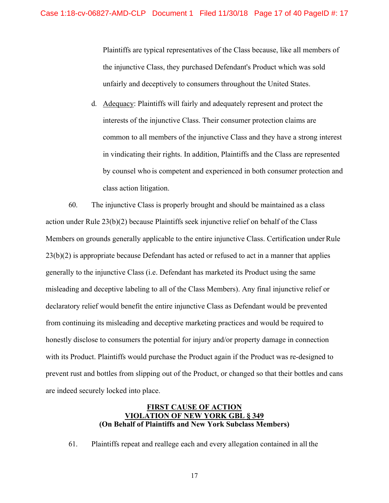Plaintiffs are typical representatives of the Class because, like all members of the injunctive Class, they purchased Defendant's Product which was sold unfairly and deceptively to consumers throughout the United States.

d. Adequacy: Plaintiffs will fairly and adequately represent and protect the interests of the injunctive Class. Their consumer protection claims are common to all members of the injunctive Class and they have a strong interest in vindicating their rights. In addition, Plaintiffs and the Class are represented by counsel who is competent and experienced in both consumer protection and class action litigation.

60. The injunctive Class is properly brought and should be maintained as a class action under Rule 23(b)(2) because Plaintiffs seek injunctive relief on behalf of the Class Members on grounds generally applicable to the entire injunctive Class. Certification under Rule 23(b)(2) is appropriate because Defendant has acted or refused to act in a manner that applies generally to the injunctive Class (i.e. Defendant has marketed its Product using the same misleading and deceptive labeling to all of the Class Members). Any final injunctive relief or declaratory relief would benefit the entire injunctive Class as Defendant would be prevented from continuing its misleading and deceptive marketing practices and would be required to honestly disclose to consumers the potential for injury and/or property damage in connection with its Product. Plaintiffs would purchase the Product again if the Product was re-designed to prevent rust and bottles from slipping out of the Product, or changed so that their bottles and cans are indeed securely locked into place.

# **FIRST CAUSE OF ACTION VIOLATION OF NEW YORK GBL § 349 (On Behalf of Plaintiffs and New York Subclass Members)**

61. Plaintiffs repeat and reallege each and every allegation contained in all the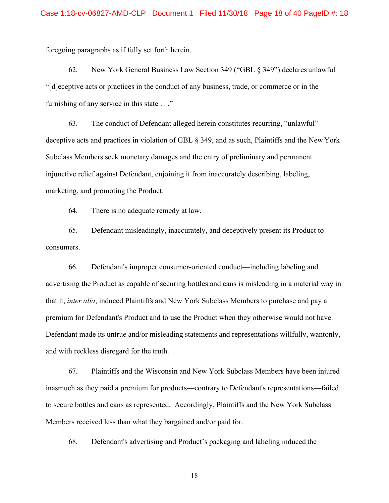foregoing paragraphs as if fully set forth herein.

62. New York General Business Law Section 349 ("GBL § 349") declares unlawful "[d]eceptive acts or practices in the conduct of any business, trade, or commerce or in the furnishing of any service in this state . . ."

63. The conduct of Defendant alleged herein constitutes recurring, "unlawful" deceptive acts and practices in violation of GBL § 349, and as such, Plaintiffs and the New York Subclass Members seek monetary damages and the entry of preliminary and permanent injunctive relief against Defendant, enjoining it from inaccurately describing, labeling, marketing, and promoting the Product.

64. There is no adequate remedy at law.

65. Defendant misleadingly, inaccurately, and deceptively present its Product to consumers.

66. Defendant's improper consumer-oriented conduct—including labeling and advertising the Product as capable of securing bottles and cans is misleading in a material way in that it, *inter alia*, induced Plaintiffs and New York Subclass Members to purchase and pay a premium for Defendant's Product and to use the Product when they otherwise would not have. Defendant made its untrue and/or misleading statements and representations willfully, wantonly, and with reckless disregard for the truth.

67. Plaintiffs and the Wisconsin and New York Subclass Members have been injured inasmuch as they paid a premium for products—contrary to Defendant's representations—failed to secure bottles and cans as represented. Accordingly, Plaintiffs and the New York Subclass Members received less than what they bargained and/or paid for.

68. Defendant's advertising and Product's packaging and labeling induced the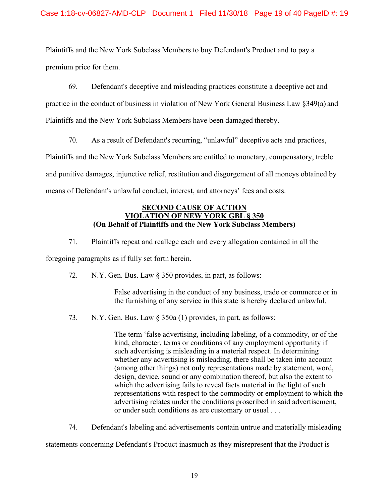Plaintiffs and the New York Subclass Members to buy Defendant's Product and to pay a premium price for them.

69. Defendant's deceptive and misleading practices constitute a deceptive act and

practice in the conduct of business in violation of New York General Business Law §349(a) and

Plaintiffs and the New York Subclass Members have been damaged thereby.

70. As a result of Defendant's recurring, "unlawful" deceptive acts and practices,

Plaintiffs and the New York Subclass Members are entitled to monetary, compensatory, treble

and punitive damages, injunctive relief, restitution and disgorgement of all moneys obtained by

means of Defendant's unlawful conduct, interest, and attorneys' fees and costs.

### **SECOND CAUSE OF ACTION VIOLATION OF NEW YORK GBL § 350 (On Behalf of Plaintiffs and the New York Subclass Members)**

71. Plaintiffs repeat and reallege each and every allegation contained in all the

foregoing paragraphs as if fully set forth herein.

72. N.Y. Gen. Bus. Law § 350 provides, in part, as follows:

False advertising in the conduct of any business, trade or commerce or in the furnishing of any service in this state is hereby declared unlawful.

73. N.Y. Gen. Bus. Law § 350a (1) provides, in part, as follows:

The term 'false advertising, including labeling, of a commodity, or of the kind, character, terms or conditions of any employment opportunity if such advertising is misleading in a material respect. In determining whether any advertising is misleading, there shall be taken into account (among other things) not only representations made by statement, word, design, device, sound or any combination thereof, but also the extent to which the advertising fails to reveal facts material in the light of such representations with respect to the commodity or employment to which the advertising relates under the conditions proscribed in said advertisement, or under such conditions as are customary or usual . . .

74. Defendant's labeling and advertisements contain untrue and materially misleading

statements concerning Defendant's Product inasmuch as they misrepresent that the Product is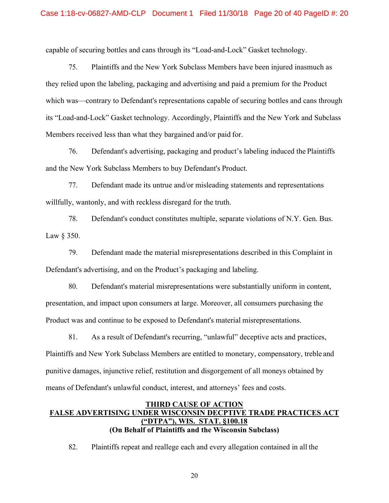#### Case 1:18-cv-06827-AMD-CLP Document 1 Filed 11/30/18 Page 20 of 40 PageID #: 20

capable of securing bottles and cans through its "Load-and-Lock" Gasket technology.

75. Plaintiffs and the New York Subclass Members have been injured inasmuch as they relied upon the labeling, packaging and advertising and paid a premium for the Product which was—contrary to Defendant's representations capable of securing bottles and cans through its "Load-and-Lock" Gasket technology. Accordingly, Plaintiffs and the New York and Subclass Members received less than what they bargained and/or paid for.

76. Defendant's advertising, packaging and product's labeling induced the Plaintiffs and the New York Subclass Members to buy Defendant's Product.

77. Defendant made its untrue and/or misleading statements and representations willfully, wantonly, and with reckless disregard for the truth.

78. Defendant's conduct constitutes multiple, separate violations of N.Y. Gen. Bus. Law § 350.

79. Defendant made the material misrepresentations described in this Complaint in Defendant's advertising, and on the Product's packaging and labeling.

80. Defendant's material misrepresentations were substantially uniform in content, presentation, and impact upon consumers at large. Moreover, all consumers purchasing the Product was and continue to be exposed to Defendant's material misrepresentations.

81. As a result of Defendant's recurring, "unlawful" deceptive acts and practices, Plaintiffs and New York Subclass Members are entitled to monetary, compensatory, treble and punitive damages, injunctive relief, restitution and disgorgement of all moneys obtained by means of Defendant's unlawful conduct, interest, and attorneys' fees and costs.

# **THIRD CAUSE OF ACTION FALSE ADVERTISING UNDER WISCONSIN DECPTIVE TRADE PRACTICES ACT ("DTPA"), WIS. STAT. §100.18 (On Behalf of Plaintiffs and the Wisconsin Subclass)**

82. Plaintiffs repeat and reallege each and every allegation contained in all the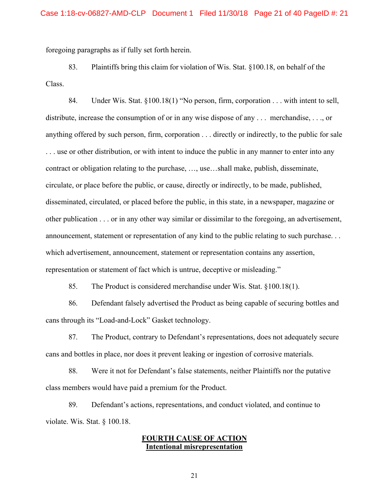foregoing paragraphs as if fully set forth herein.

83. Plaintiffs bring this claim for violation of Wis. Stat. §100.18, on behalf of the Class.

84. Under Wis. Stat. §100.18(1) "No person, firm, corporation . . . with intent to sell, distribute, increase the consumption of or in any wise dispose of any . . . merchandise, . . ., or anything offered by such person, firm, corporation . . . directly or indirectly, to the public for sale . . . use or other distribution, or with intent to induce the public in any manner to enter into any contract or obligation relating to the purchase, …, use…shall make, publish, disseminate, circulate, or place before the public, or cause, directly or indirectly, to be made, published, disseminated, circulated, or placed before the public, in this state, in a newspaper, magazine or other publication . . . or in any other way similar or dissimilar to the foregoing, an advertisement, announcement, statement or representation of any kind to the public relating to such purchase. . . which advertisement, announcement, statement or representation contains any assertion, representation or statement of fact which is untrue, deceptive or misleading."

85. The Product is considered merchandise under Wis. Stat. §100.18(1).

86. Defendant falsely advertised the Product as being capable of securing bottles and cans through its "Load-and-Lock" Gasket technology.

87. The Product, contrary to Defendant's representations, does not adequately secure cans and bottles in place, nor does it prevent leaking or ingestion of corrosive materials.

88. Were it not for Defendant's false statements, neither Plaintiffs nor the putative class members would have paid a premium for the Product.

89. Defendant's actions, representations, and conduct violated, and continue to violate. Wis. Stat. § 100.18.

# **FOURTH CAUSE OF ACTION Intentional misrepresentation**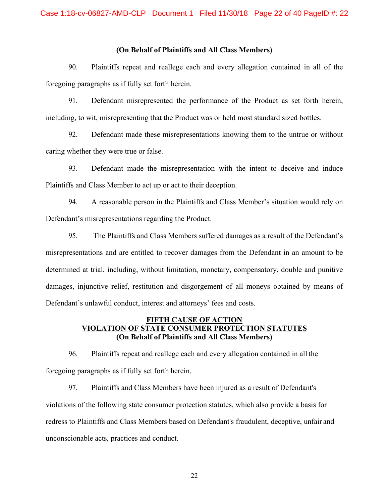### **(On Behalf of Plaintiffs and All Class Members)**

90. Plaintiffs repeat and reallege each and every allegation contained in all of the foregoing paragraphs as if fully set forth herein.

91. Defendant misrepresented the performance of the Product as set forth herein, including, to wit, misrepresenting that the Product was or held most standard sized bottles.

92. Defendant made these misrepresentations knowing them to the untrue or without caring whether they were true or false.

93. Defendant made the misrepresentation with the intent to deceive and induce Plaintiffs and Class Member to act up or act to their deception.

94. A reasonable person in the Plaintiffs and Class Member's situation would rely on Defendant's misrepresentations regarding the Product.

95. The Plaintiffs and Class Members suffered damages as a result of the Defendant's misrepresentations and are entitled to recover damages from the Defendant in an amount to be determined at trial, including, without limitation, monetary, compensatory, double and punitive damages, injunctive relief, restitution and disgorgement of all moneys obtained by means of Defendant's unlawful conduct, interest and attorneys' fees and costs.

# **FIFTH CAUSE OF ACTION VIOLATION OF STATE CONSUMER PROTECTION STATUTES (On Behalf of Plaintiffs and All Class Members)**

96. Plaintiffs repeat and reallege each and every allegation contained in all the foregoing paragraphs as if fully set forth herein.

97. Plaintiffs and Class Members have been injured as a result of Defendant's violations of the following state consumer protection statutes, which also provide a basis for redress to Plaintiffs and Class Members based on Defendant's fraudulent, deceptive, unfair and unconscionable acts, practices and conduct.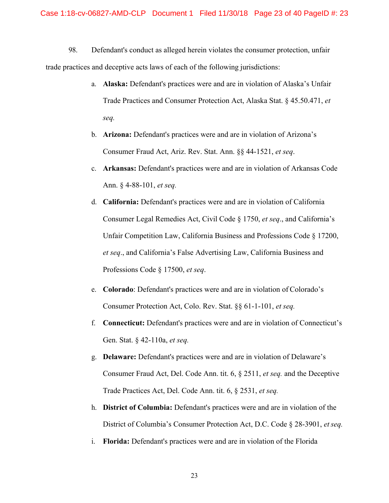98. Defendant's conduct as alleged herein violates the consumer protection, unfair trade practices and deceptive acts laws of each of the following jurisdictions:

- a. **Alaska:** Defendant's practices were and are in violation of Alaska's Unfair Trade Practices and Consumer Protection Act, Alaska Stat. § 45.50.471, *et seq.*
- b. **Arizona:** Defendant's practices were and are in violation of Arizona's Consumer Fraud Act, Ariz. Rev. Stat. Ann. §§ 44-1521, *et seq*.
- c. **Arkansas:** Defendant's practices were and are in violation of Arkansas Code Ann. § 4-88-101, *et seq.*
- d. **California:** Defendant's practices were and are in violation of California Consumer Legal Remedies Act, Civil Code § 1750, *et seq*., and California's Unfair Competition Law, California Business and Professions Code § 17200, *et seq*., and California's False Advertising Law, California Business and Professions Code § 17500, *et seq*.
- e. **Colorado**: Defendant's practices were and are in violation of Colorado's Consumer Protection Act, Colo. Rev. Stat. §§ 61-1-101, *et seq.*
- f. **Connecticut:** Defendant's practices were and are in violation of Connecticut's Gen. Stat. § 42-110a, *et seq.*
- g. **Delaware:** Defendant's practices were and are in violation of Delaware's Consumer Fraud Act, Del. Code Ann. tit. 6, § 2511, *et seq.* and the Deceptive Trade Practices Act, Del. Code Ann. tit. 6, § 2531, *et seq.*
- h. **District of Columbia:** Defendant's practices were and are in violation of the District of Columbia's Consumer Protection Act, D.C. Code § 28-3901, *et seq.*
- i. **Florida:** Defendant's practices were and are in violation of the Florida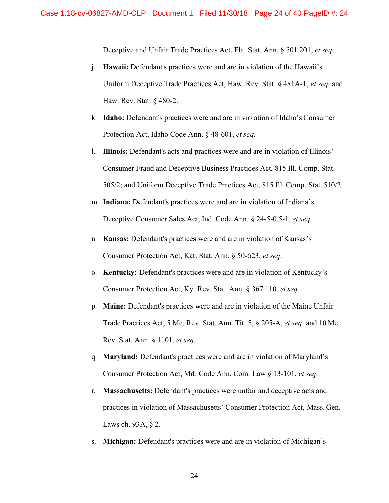Deceptive and Unfair Trade Practices Act, Fla. Stat. Ann. § 501.201, *et seq*.

- j. **Hawaii:** Defendant's practices were and are in violation of the Hawaii's Uniform Deceptive Trade Practices Act, Haw. Rev. Stat. § 481A-1, *et seq.* and Haw. Rev. Stat. § 480-2.
- k. **Idaho:** Defendant's practices were and are in violation of Idaho's Consumer Protection Act, Idaho Code Ann. § 48-601, *et seq.*
- l. **Illinois:** Defendant's acts and practices were and are in violation of Illinois' Consumer Fraud and Deceptive Business Practices Act, 815 Ill. Comp. Stat. 505/2; and Uniform Deceptive Trade Practices Act, 815 Ill. Comp. Stat. 510/2.
- m. **Indiana:** Defendant's practices were and are in violation of Indiana's Deceptive Consumer Sales Act, Ind. Code Ann. § 24-5-0.5-1, *et seq.*
- n. **Kansas:** Defendant's practices were and are in violation of Kansas's Consumer Protection Act, Kat. Stat. Ann. § 50-623, *et seq*.
- o. **Kentucky:** Defendant's practices were and are in violation of Kentucky's Consumer Protection Act, Ky. Rev. Stat. Ann. § 367.110, *et seq.*
- p. **Maine:** Defendant's practices were and are in violation of the Maine Unfair Trade Practices Act, 5 Me. Rev. Stat. Ann. Tit. 5, § 205-A, *et seq*. and 10 Me. Rev. Stat. Ann. § 1101, *et seq*.
- q. **Maryland:** Defendant's practices were and are in violation of Maryland's Consumer Protection Act, Md. Code Ann. Com. Law § 13-101, *et seq*.
- r. **Massachusetts:** Defendant's practices were unfair and deceptive acts and practices in violation of Massachusetts' Consumer Protection Act, Mass. Gen. Laws ch. 93A, § 2.
- s. **Michigan:** Defendant's practices were and are in violation of Michigan's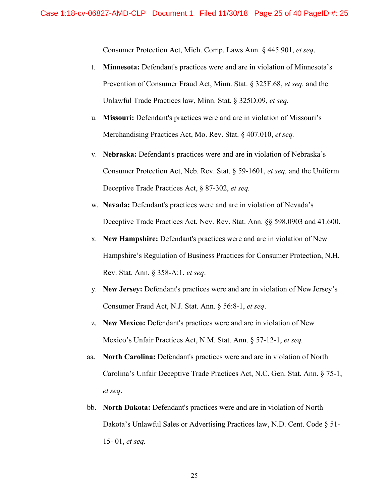Consumer Protection Act, Mich. Comp. Laws Ann. § 445.901, *et seq*.

- t. **Minnesota:** Defendant's practices were and are in violation of Minnesota's Prevention of Consumer Fraud Act, Minn. Stat. § 325F.68, *et seq.* and the Unlawful Trade Practices law, Minn. Stat. § 325D.09, *et seq.*
- u. **Missouri:** Defendant's practices were and are in violation of Missouri's Merchandising Practices Act, Mo. Rev. Stat. § 407.010, *et seq.*
- v. **Nebraska:** Defendant's practices were and are in violation of Nebraska's Consumer Protection Act, Neb. Rev. Stat. § 59-1601, *et seq.* and the Uniform Deceptive Trade Practices Act, § 87-302, *et seq.*
- w. **Nevada:** Defendant's practices were and are in violation of Nevada's Deceptive Trade Practices Act, Nev. Rev. Stat. Ann. §§ 598.0903 and 41.600.
- x. **New Hampshire:** Defendant's practices were and are in violation of New Hampshire's Regulation of Business Practices for Consumer Protection, N.H. Rev. Stat. Ann. § 358-A:1, *et seq*.
- y. **New Jersey:** Defendant's practices were and are in violation of New Jersey's Consumer Fraud Act, N.J. Stat. Ann. § 56:8-1, *et seq*.
- z. **New Mexico:** Defendant's practices were and are in violation of New Mexico's Unfair Practices Act, N.M. Stat. Ann. § 57-12-1, *et seq.*
- aa. **North Carolina:** Defendant's practices were and are in violation of North Carolina's Unfair Deceptive Trade Practices Act, N.C. Gen. Stat. Ann. § 75-1, *et seq*.
- bb. **North Dakota:** Defendant's practices were and are in violation of North Dakota's Unlawful Sales or Advertising Practices law, N.D. Cent. Code § 51- 15- 01, *et seq.*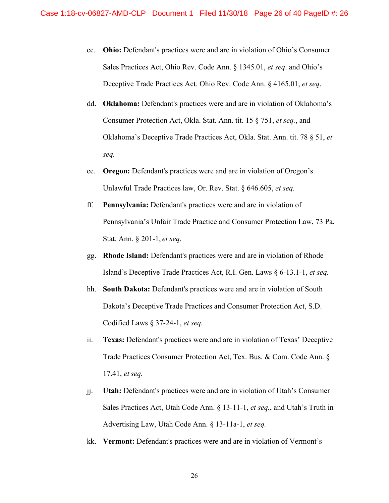- cc. **Ohio:** Defendant's practices were and are in violation of Ohio's Consumer Sales Practices Act, Ohio Rev. Code Ann. § 1345.01, *et seq*. and Ohio's Deceptive Trade Practices Act. Ohio Rev. Code Ann. § 4165.01, *et seq*.
- dd. **Oklahoma:** Defendant's practices were and are in violation of Oklahoma's Consumer Protection Act, Okla. Stat. Ann. tit. 15 § 751, *et seq.*, and Oklahoma's Deceptive Trade Practices Act, Okla. Stat. Ann. tit. 78 § 51, *et seq.*
- ee. **Oregon:** Defendant's practices were and are in violation of Oregon's Unlawful Trade Practices law, Or. Rev. Stat. § 646.605, *et seq.*
- ff. **Pennsylvania:** Defendant's practices were and are in violation of Pennsylvania's Unfair Trade Practice and Consumer Protection Law, 73 Pa. Stat. Ann. § 201-1, *et seq*.
- gg. **Rhode Island:** Defendant's practices were and are in violation of Rhode Island's Deceptive Trade Practices Act, R.I. Gen. Laws § 6-13.1-1, *et seq.*
- hh. **South Dakota:** Defendant's practices were and are in violation of South Dakota's Deceptive Trade Practices and Consumer Protection Act, S.D. Codified Laws § 37-24-1, *et seq.*
- ii. **Texas:** Defendant's practices were and are in violation of Texas' Deceptive Trade Practices Consumer Protection Act, Tex. Bus. & Com. Code Ann. § 17.41, *et seq.*
- jj. **Utah:** Defendant's practices were and are in violation of Utah's Consumer Sales Practices Act, Utah Code Ann. § 13-11-1, *et seq.*, and Utah's Truth in Advertising Law, Utah Code Ann. § 13-11a-1, *et seq.*
- kk. **Vermont:** Defendant's practices were and are in violation of Vermont's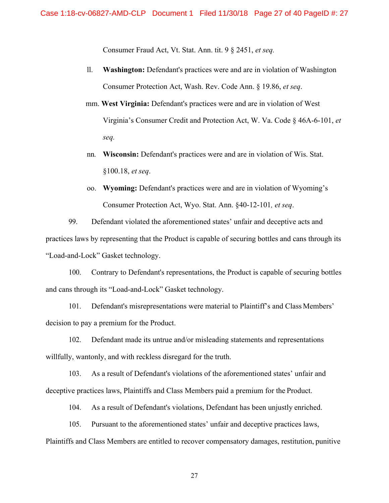Consumer Fraud Act, Vt. Stat. Ann. tit. 9 § 2451, *et seq.* 

- ll. **Washington:** Defendant's practices were and are in violation of Washington Consumer Protection Act, Wash. Rev. Code Ann. § 19.86, *et seq*.
- mm. **West Virginia:** Defendant's practices were and are in violation of West Virginia's Consumer Credit and Protection Act, W. Va. Code § 46A-6-101, *et seq.*
- nn*.* **Wisconsin:** Defendant's practices were and are in violation of Wis. Stat. §100.18, *et seq*.
- oo. **Wyoming:** Defendant's practices were and are in violation of Wyoming's Consumer Protection Act, Wyo. Stat. Ann. §40-12-101*, et seq*.

99. Defendant violated the aforementioned states' unfair and deceptive acts and practices laws by representing that the Product is capable of securing bottles and cans through its "Load-and-Lock" Gasket technology.

100. Contrary to Defendant's representations, the Product is capable of securing bottles and cans through its "Load-and-Lock" Gasket technology.

101. Defendant's misrepresentations were material to Plaintiff's and Class Members' decision to pay a premium for the Product.

102. Defendant made its untrue and/or misleading statements and representations willfully, wantonly, and with reckless disregard for the truth.

103. As a result of Defendant's violations of the aforementioned states' unfair and deceptive practices laws, Plaintiffs and Class Members paid a premium for the Product.

104. As a result of Defendant's violations, Defendant has been unjustly enriched.

105. Pursuant to the aforementioned states' unfair and deceptive practices laws, Plaintiffs and Class Members are entitled to recover compensatory damages, restitution, punitive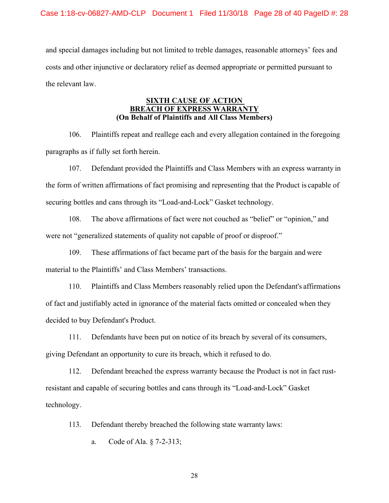and special damages including but not limited to treble damages, reasonable attorneys' fees and costs and other injunctive or declaratory relief as deemed appropriate or permitted pursuant to the relevant law.

## **SIXTH CAUSE OF ACTION BREACH OF EXPRESS WARRANTY (On Behalf of Plaintiffs and All Class Members)**

106. Plaintiffs repeat and reallege each and every allegation contained in the foregoing paragraphs as if fully set forth herein.

107. Defendant provided the Plaintiffs and Class Members with an express warranty in the form of written affirmations of fact promising and representing that the Product is capable of securing bottles and cans through its "Load-and-Lock" Gasket technology.

108. The above affirmations of fact were not couched as "belief" or "opinion," and were not "generalized statements of quality not capable of proof or disproof."

109. These affirmations of fact became part of the basis for the bargain and were material to the Plaintiffs' and Class Members' transactions.

110. Plaintiffs and Class Members reasonably relied upon the Defendant's affirmations of fact and justifiably acted in ignorance of the material facts omitted or concealed when they decided to buy Defendant's Product.

111. Defendants have been put on notice of its breach by several of its consumers, giving Defendant an opportunity to cure its breach, which it refused to do.

112. Defendant breached the express warranty because the Product is not in fact rustresistant and capable of securing bottles and cans through its "Load-and-Lock" Gasket technology.

113. Defendant thereby breached the following state warranty laws:

a. Code of Ala. § 7-2-313;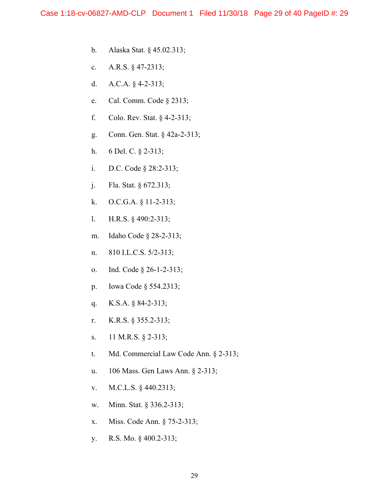- b. Alaska Stat. § 45.02.313;
- c. A.R.S. § 47-2313;
- d. A.C.A. § 4-2-313;
- e. Cal. Comm. Code § 2313;
- f. Colo. Rev. Stat. § 4-2-313;
- g. Conn. Gen. Stat. § 42a-2-313;
- h. 6 Del. C. § 2-313;
- i. D.C. Code § 28:2-313;
- j. Fla. Stat. § 672.313;
- k. O.C.G.A. § 11-2-313;
- l. H.R.S. § 490:2-313;
- m. Idaho Code § 28-2-313;
- n. 810 I.L.C.S. 5/2-313;
- o. Ind. Code § 26-1-2-313;
- p. Iowa Code § 554.2313;
- q. K.S.A. § 84-2-313;
- r. K.R.S. § 355.2-313;
- s. 11 M.R.S. § 2-313;
- t. Md. Commercial Law Code Ann. § 2-313;
- u. 106 Mass. Gen Laws Ann. § 2-313;
- v. M.C.L.S. § 440.2313;
- w. Minn. Stat. § 336.2-313;
- x. Miss. Code Ann. § 75-2-313;
- y. R.S. Mo. § 400.2-313;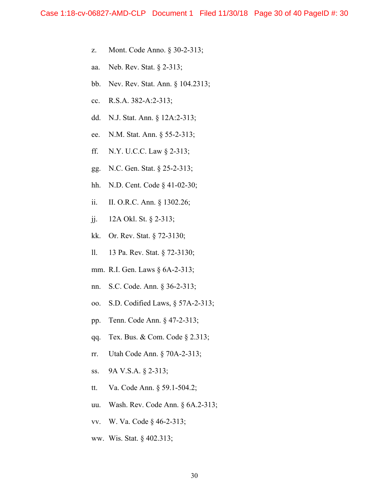- z. Mont. Code Anno. § 30-2-313;
- aa. Neb. Rev. Stat. § 2-313;
- bb. Nev. Rev. Stat. Ann. § 104.2313;
- cc. R.S.A. 382-A:2-313;
- dd. N.J. Stat. Ann. § 12A:2-313;
- ee. N.M. Stat. Ann. § 55-2-313;
- ff. N.Y. U.C.C. Law § 2-313;
- gg. N.C. Gen. Stat. § 25-2-313;
- hh. N.D. Cent. Code § 41-02-30;
- ii. II. O.R.C. Ann. § 1302.26;
- jj. 12A Okl. St. § 2-313;
- kk. Or. Rev. Stat. § 72-3130;
- ll. 13 Pa. Rev. Stat. § 72-3130;
- mm. R.I. Gen. Laws § 6A-2-313;
- nn. S.C. Code. Ann. § 36-2-313;
- oo. S.D. Codified Laws, § 57A-2-313;
- pp. Tenn. Code Ann. § 47-2-313;
- qq. Tex. Bus. & Com. Code § 2.313;
- rr. Utah Code Ann. § 70A-2-313;
- ss. 9A V.S.A. § 2-313;
- tt. Va. Code Ann. § 59.1-504.2;
- uu. Wash. Rev. Code Ann. § 6A.2-313;
- vv. W. Va. Code § 46-2-313;
- ww. Wis. Stat. § 402.313;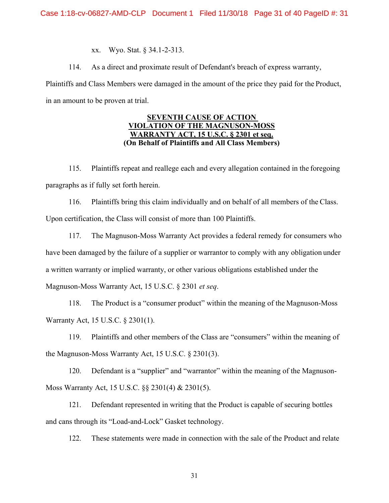xx. Wyo. Stat. § 34.1-2-313.

114. As a direct and proximate result of Defendant's breach of express warranty,

Plaintiffs and Class Members were damaged in the amount of the price they paid for the Product, in an amount to be proven at trial.

## **SEVENTH CAUSE OF ACTION VIOLATION OF THE MAGNUSON-MOSS WARRANTY ACT, 15 U.S.C. § 2301 et seq. (On Behalf of Plaintiffs and All Class Members)**

115. Plaintiffs repeat and reallege each and every allegation contained in the foregoing paragraphs as if fully set forth herein.

116. Plaintiffs bring this claim individually and on behalf of all members of the Class. Upon certification, the Class will consist of more than 100 Plaintiffs.

117. The Magnuson-Moss Warranty Act provides a federal remedy for consumers who have been damaged by the failure of a supplier or warrantor to comply with any obligation under a written warranty or implied warranty, or other various obligations established under the Magnuson-Moss Warranty Act, 15 U.S.C. § 2301 *et seq*.

118. The Product is a "consumer product" within the meaning of the Magnuson-Moss Warranty Act, 15 U.S.C. § 2301(1).

119. Plaintiffs and other members of the Class are "consumers" within the meaning of the Magnuson-Moss Warranty Act, 15 U.S.C. § 2301(3).

120. Defendant is a "supplier" and "warrantor" within the meaning of the Magnuson-Moss Warranty Act, 15 U.S.C. §§ 2301(4) & 2301(5).

121. Defendant represented in writing that the Product is capable of securing bottles and cans through its "Load-and-Lock" Gasket technology.

122. These statements were made in connection with the sale of the Product and relate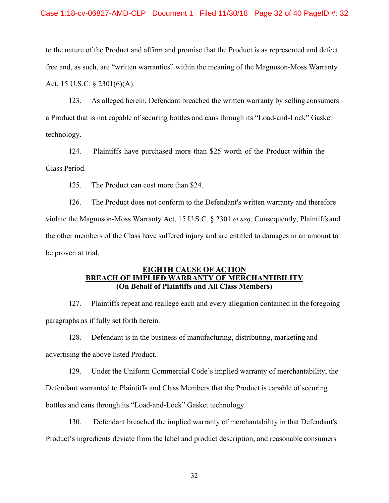### Case 1:18-cv-06827-AMD-CLP Document 1 Filed 11/30/18 Page 32 of 40 PageID #: 32

to the nature of the Product and affirm and promise that the Product is as represented and defect free and, as such, are "written warranties" within the meaning of the Magnuson-Moss Warranty Act, 15 U.S.C. § 2301(6)(A).

123. As alleged herein, Defendant breached the written warranty by selling consumers a Product that is not capable of securing bottles and cans through its "Load-and-Lock" Gasket technology.

124. Plaintiffs have purchased more than \$25 worth of the Product within the Class Period.

125. The Product can cost more than \$24.

126. The Product does not conform to the Defendant's written warranty and therefore violate the Magnuson-Moss Warranty Act, 15 U.S.C. § 2301 *et seq*. Consequently, Plaintiffs and the other members of the Class have suffered injury and are entitled to damages in an amount to be proven at trial.

### **EIGHTH CAUSE OF ACTION BREACH OF IMPLIED WARRANTY OF MERCHANTIBILITY (On Behalf of Plaintiffs and All Class Members)**

127. Plaintiffs repeat and reallege each and every allegation contained in the foregoing paragraphs as if fully set forth herein.

128. Defendant is in the business of manufacturing, distributing, marketing and advertising the above listed Product.

129. Under the Uniform Commercial Code's implied warranty of merchantability, the Defendant warranted to Plaintiffs and Class Members that the Product is capable of securing bottles and cans through its "Load-and-Lock" Gasket technology.

130. Defendant breached the implied warranty of merchantability in that Defendant's Product's ingredients deviate from the label and product description, and reasonable consumers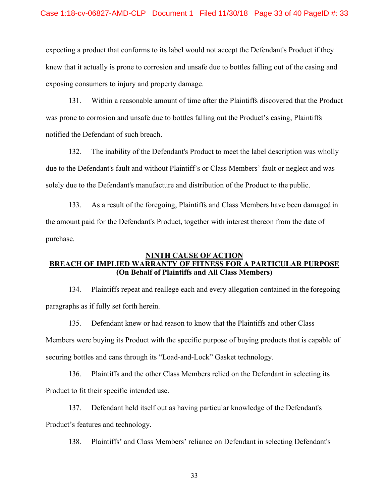expecting a product that conforms to its label would not accept the Defendant's Product if they knew that it actually is prone to corrosion and unsafe due to bottles falling out of the casing and exposing consumers to injury and property damage.

131. Within a reasonable amount of time after the Plaintiffs discovered that the Product was prone to corrosion and unsafe due to bottles falling out the Product's casing, Plaintiffs notified the Defendant of such breach.

132. The inability of the Defendant's Product to meet the label description was wholly due to the Defendant's fault and without Plaintiff's or Class Members' fault or neglect and was solely due to the Defendant's manufacture and distribution of the Product to the public.

133. As a result of the foregoing, Plaintiffs and Class Members have been damaged in the amount paid for the Defendant's Product, together with interest thereon from the date of purchase.

# **NINTH CAUSE OF ACTION BREACH OF IMPLIED WARRANTY OF FITNESS FOR A PARTICULAR PURPOSE (On Behalf of Plaintiffs and All Class Members)**

134. Plaintiffs repeat and reallege each and every allegation contained in the foregoing paragraphs as if fully set forth herein.

135. Defendant knew or had reason to know that the Plaintiffs and other Class Members were buying its Product with the specific purpose of buying products that is capable of securing bottles and cans through its "Load-and-Lock" Gasket technology.

136. Plaintiffs and the other Class Members relied on the Defendant in selecting its Product to fit their specific intended use.

137. Defendant held itself out as having particular knowledge of the Defendant's Product's features and technology.

138. Plaintiffs' and Class Members' reliance on Defendant in selecting Defendant's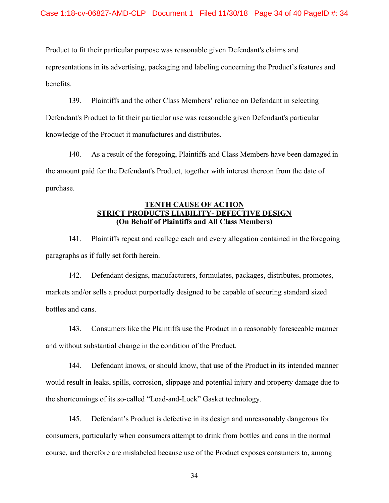Product to fit their particular purpose was reasonable given Defendant's claims and representations in its advertising, packaging and labeling concerning the Product's features and benefits.

139. Plaintiffs and the other Class Members' reliance on Defendant in selecting Defendant's Product to fit their particular use was reasonable given Defendant's particular knowledge of the Product it manufactures and distributes.

140. As a result of the foregoing, Plaintiffs and Class Members have been damaged in the amount paid for the Defendant's Product, together with interest thereon from the date of purchase.

## **TENTH CAUSE OF ACTION STRICT PRODUCTS LIABILITY- DEFECTIVE DESIGN (On Behalf of Plaintiffs and All Class Members)**

141. Plaintiffs repeat and reallege each and every allegation contained in the foregoing paragraphs as if fully set forth herein.

142. Defendant designs, manufacturers, formulates, packages, distributes, promotes, markets and/or sells a product purportedly designed to be capable of securing standard sized bottles and cans.

143. Consumers like the Plaintiffs use the Product in a reasonably foreseeable manner and without substantial change in the condition of the Product.

144. Defendant knows, or should know, that use of the Product in its intended manner would result in leaks, spills, corrosion, slippage and potential injury and property damage due to the shortcomings of its so-called "Load-and-Lock" Gasket technology.

145. Defendant's Product is defective in its design and unreasonably dangerous for consumers, particularly when consumers attempt to drink from bottles and cans in the normal course, and therefore are mislabeled because use of the Product exposes consumers to, among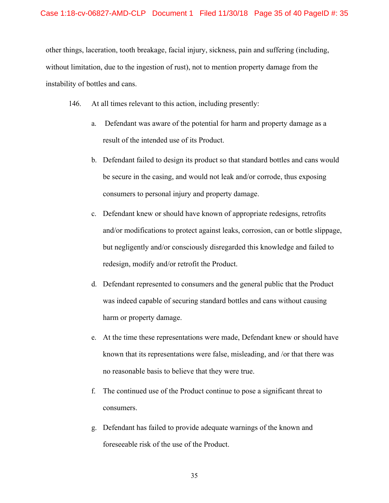other things, laceration, tooth breakage, facial injury, sickness, pain and suffering (including, without limitation, due to the ingestion of rust), not to mention property damage from the instability of bottles and cans.

- 146. At all times relevant to this action, including presently:
	- a. Defendant was aware of the potential for harm and property damage as a result of the intended use of its Product.
	- b. Defendant failed to design its product so that standard bottles and cans would be secure in the casing, and would not leak and/or corrode, thus exposing consumers to personal injury and property damage.
	- c. Defendant knew or should have known of appropriate redesigns, retrofits and/or modifications to protect against leaks, corrosion, can or bottle slippage, but negligently and/or consciously disregarded this knowledge and failed to redesign, modify and/or retrofit the Product.
	- d. Defendant represented to consumers and the general public that the Product was indeed capable of securing standard bottles and cans without causing harm or property damage.
	- e. At the time these representations were made, Defendant knew or should have known that its representations were false, misleading, and /or that there was no reasonable basis to believe that they were true.
	- f. The continued use of the Product continue to pose a significant threat to consumers.
	- g. Defendant has failed to provide adequate warnings of the known and foreseeable risk of the use of the Product.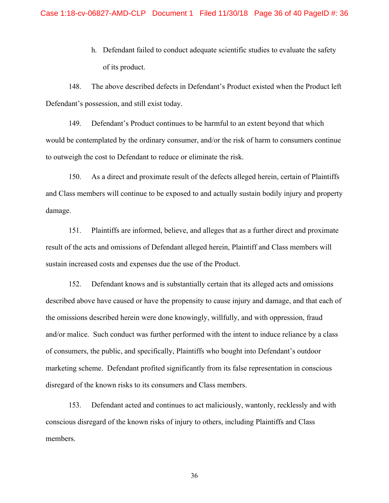h. Defendant failed to conduct adequate scientific studies to evaluate the safety of its product.

148. The above described defects in Defendant's Product existed when the Product left Defendant's possession, and still exist today.

149. Defendant's Product continues to be harmful to an extent beyond that which would be contemplated by the ordinary consumer, and/or the risk of harm to consumers continue to outweigh the cost to Defendant to reduce or eliminate the risk.

150. As a direct and proximate result of the defects alleged herein, certain of Plaintiffs and Class members will continue to be exposed to and actually sustain bodily injury and property damage.

151. Plaintiffs are informed, believe, and alleges that as a further direct and proximate result of the acts and omissions of Defendant alleged herein, Plaintiff and Class members will sustain increased costs and expenses due the use of the Product.

152. Defendant knows and is substantially certain that its alleged acts and omissions described above have caused or have the propensity to cause injury and damage, and that each of the omissions described herein were done knowingly, willfully, and with oppression, fraud and/or malice. Such conduct was further performed with the intent to induce reliance by a class of consumers, the public, and specifically, Plaintiffs who bought into Defendant's outdoor marketing scheme. Defendant profited significantly from its false representation in conscious disregard of the known risks to its consumers and Class members.

153. Defendant acted and continues to act maliciously, wantonly, recklessly and with conscious disregard of the known risks of injury to others, including Plaintiffs and Class members.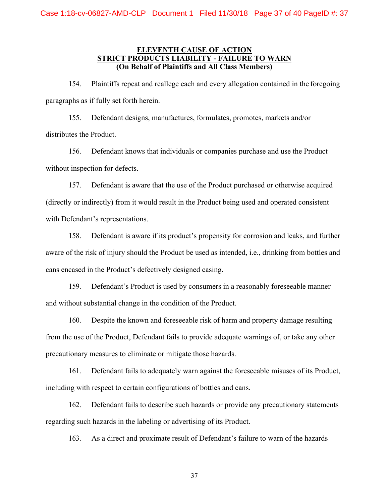## **ELEVENTH CAUSE OF ACTION STRICT PRODUCTS LIABILITY - FAILURE TO WARN (On Behalf of Plaintiffs and All Class Members)**

154. Plaintiffs repeat and reallege each and every allegation contained in the foregoing paragraphs as if fully set forth herein.

155. Defendant designs, manufactures, formulates, promotes, markets and/or distributes the Product.

156. Defendant knows that individuals or companies purchase and use the Product without inspection for defects.

157. Defendant is aware that the use of the Product purchased or otherwise acquired (directly or indirectly) from it would result in the Product being used and operated consistent with Defendant's representations.

158. Defendant is aware if its product's propensity for corrosion and leaks, and further aware of the risk of injury should the Product be used as intended, i.e., drinking from bottles and cans encased in the Product's defectively designed casing.

159. Defendant's Product is used by consumers in a reasonably foreseeable manner and without substantial change in the condition of the Product.

160. Despite the known and foreseeable risk of harm and property damage resulting from the use of the Product, Defendant fails to provide adequate warnings of, or take any other precautionary measures to eliminate or mitigate those hazards.

161. Defendant fails to adequately warn against the foreseeable misuses of its Product, including with respect to certain configurations of bottles and cans.

162. Defendant fails to describe such hazards or provide any precautionary statements regarding such hazards in the labeling or advertising of its Product.

163. As a direct and proximate result of Defendant's failure to warn of the hazards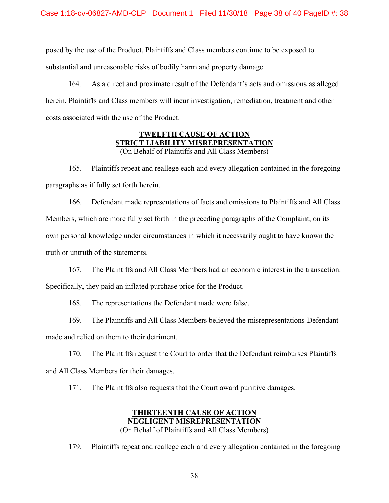posed by the use of the Product, Plaintiffs and Class members continue to be exposed to substantial and unreasonable risks of bodily harm and property damage.

164. As a direct and proximate result of the Defendant's acts and omissions as alleged herein, Plaintiffs and Class members will incur investigation, remediation, treatment and other costs associated with the use of the Product.

## **TWELFTH CAUSE OF ACTION STRICT LIABILITY MISREPRESENTATION**  (On Behalf of Plaintiffs and All Class Members)

165. Plaintiffs repeat and reallege each and every allegation contained in the foregoing paragraphs as if fully set forth herein.

166. Defendant made representations of facts and omissions to Plaintiffs and All Class Members, which are more fully set forth in the preceding paragraphs of the Complaint, on its own personal knowledge under circumstances in which it necessarily ought to have known the truth or untruth of the statements.

167. The Plaintiffs and All Class Members had an economic interest in the transaction. Specifically, they paid an inflated purchase price for the Product.

168. The representations the Defendant made were false.

169. The Plaintiffs and All Class Members believed the misrepresentations Defendant made and relied on them to their detriment.

170. The Plaintiffs request the Court to order that the Defendant reimburses Plaintiffs and All Class Members for their damages.

171. The Plaintiffs also requests that the Court award punitive damages.

# **THIRTEENTH CAUSE OF ACTION NEGLIGENT MISREPRESENTATION**  (On Behalf of Plaintiffs and All Class Members)

179. Plaintiffs repeat and reallege each and every allegation contained in the foregoing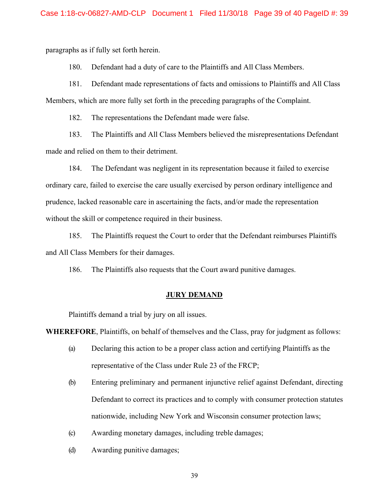paragraphs as if fully set forth herein.

180. Defendant had a duty of care to the Plaintiffs and All Class Members.

181. Defendant made representations of facts and omissions to Plaintiffs and All Class Members, which are more fully set forth in the preceding paragraphs of the Complaint.

182. The representations the Defendant made were false.

183. The Plaintiffs and All Class Members believed the misrepresentations Defendant made and relied on them to their detriment.

184. The Defendant was negligent in its representation because it failed to exercise ordinary care, failed to exercise the care usually exercised by person ordinary intelligence and prudence, lacked reasonable care in ascertaining the facts, and/or made the representation without the skill or competence required in their business.

185. The Plaintiffs request the Court to order that the Defendant reimburses Plaintiffs and All Class Members for their damages.

186. The Plaintiffs also requests that the Court award punitive damages.

#### **JURY DEMAND**

Plaintiffs demand a trial by jury on all issues.

**WHEREFORE**, Plaintiffs, on behalf of themselves and the Class, pray for judgment as follows:

- (a) Declaring this action to be a proper class action and certifying Plaintiffs as the representative of the Class under Rule 23 of the FRCP;
- (b) Entering preliminary and permanent injunctive relief against Defendant, directing Defendant to correct its practices and to comply with consumer protection statutes nationwide, including New York and Wisconsin consumer protection laws;
- (c) Awarding monetary damages, including treble damages;
- (d) Awarding punitive damages;